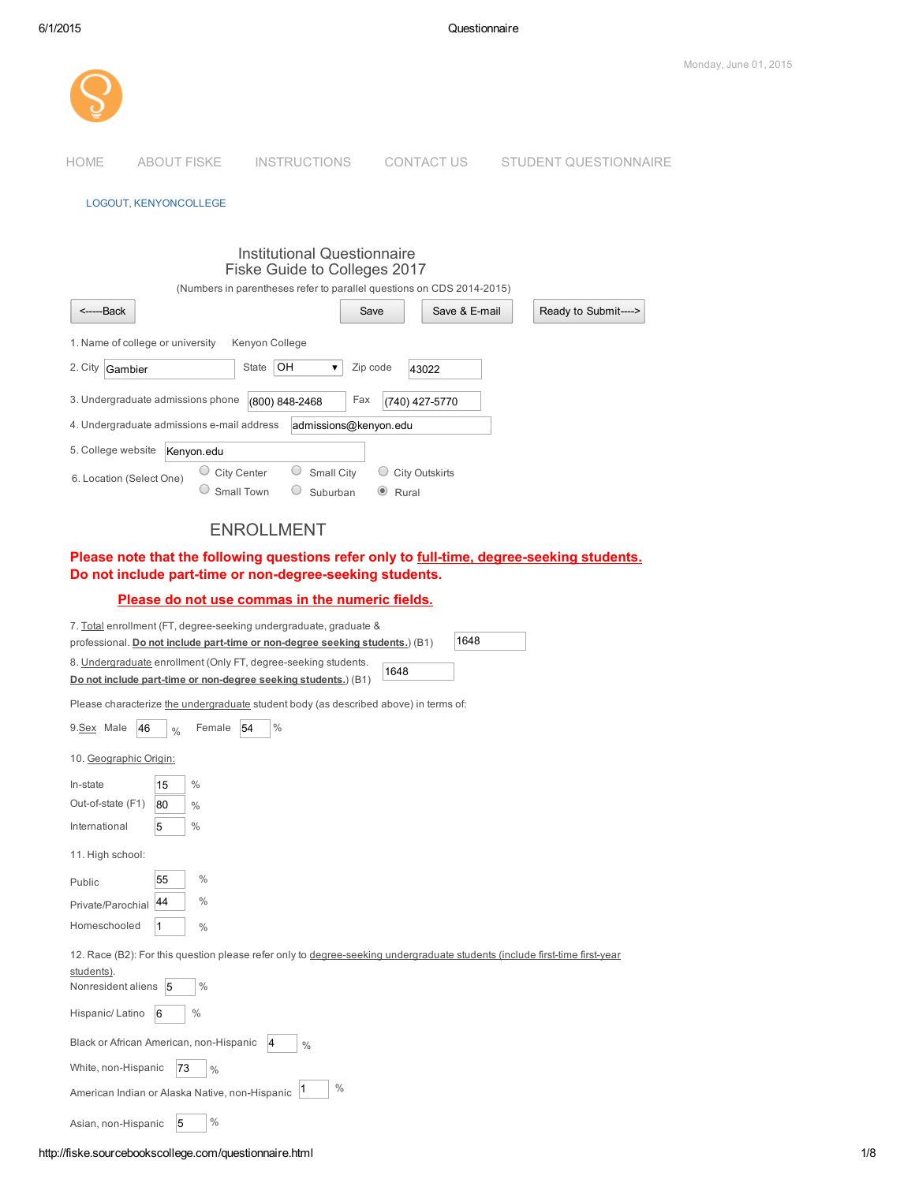

### LOGOUT, KENYONCOLLEGE

| Institutional Questionnaire<br>Fiske Guide to Colleges 2017 |                                                                       |
|-------------------------------------------------------------|-----------------------------------------------------------------------|
|                                                             | (Numbers in parentheses refer to parallel questions on CDS 2014-2015) |
| <------Back                                                 | Save & E-mail<br>Ready to Submit----><br>Save                         |
| 1. Name of college or university<br>Kenyon College          |                                                                       |
| OН<br>2. City<br>State<br>▼<br>Gambier                      | Zip code<br>43022                                                     |
| 3. Undergraduate admissions phone<br>(800) 848-2468         | Fax<br>(740) 427-5770                                                 |
| 4. Undergraduate admissions e-mail address                  | admissions@kenyon.edu                                                 |
| 5. College website<br>Kenyon.edu                            |                                                                       |
| Small City<br>City Center<br>6. Location (Select One)       | <b>City Outskirts</b>                                                 |
| Small Town<br>Suburban                                      | $\circledcirc$<br>Rural                                               |

# ENROLLMENT

Please note that the following questions refer only to full-time, degree-seeking students. Do not include part-time or non-degree-seeking students.

# Please do not use commas in the numeric fields.

| 7. Total enrollment (FT, degree-seeking undergraduate, graduate &                                                          |
|----------------------------------------------------------------------------------------------------------------------------|
| 1648<br>professional. Do not include part-time or non-degree seeking students.) (B1)                                       |
| 8. Undergraduate enrollment (Only FT, degree-seeking students.                                                             |
| 1648<br>Do not include part-time or non-degree seeking students.) (B1)                                                     |
| Please characterize the undergraduate student body (as described above) in terms of:                                       |
| Female<br>$\%$<br>9.Sex Male<br>54<br>46<br>$\frac{0}{0}$                                                                  |
| 10. Geographic Origin:                                                                                                     |
| $\%$<br>In-state<br>15                                                                                                     |
| Out-of-state (F1)<br>80<br>$\frac{0}{0}$                                                                                   |
| $\%$<br>International<br>5                                                                                                 |
| 11. High school:                                                                                                           |
| 55<br>$\%$<br>Public                                                                                                       |
| $\%$<br>44<br>Private/Parochial                                                                                            |
| Homeschooled<br>1<br>$\frac{0}{0}$                                                                                         |
| 12. Race (B2): For this question please refer only to degree-seeking undergraduate students (include first-time first-year |
| students).                                                                                                                 |
| $\%$<br>Nonresident aliens<br>5                                                                                            |
| $\%$<br>Hispanic/Latino<br>6                                                                                               |
| Black or African American, non-Hispanic<br>4<br>$\%$                                                                       |
| White, non-Hispanic<br>73<br>$\%$                                                                                          |
| $\%$<br>$\vert$ 1<br>American Indian or Alaska Native, non-Hispanic                                                        |
| 5<br>$\%$<br>Asian, non-Hispanic                                                                                           |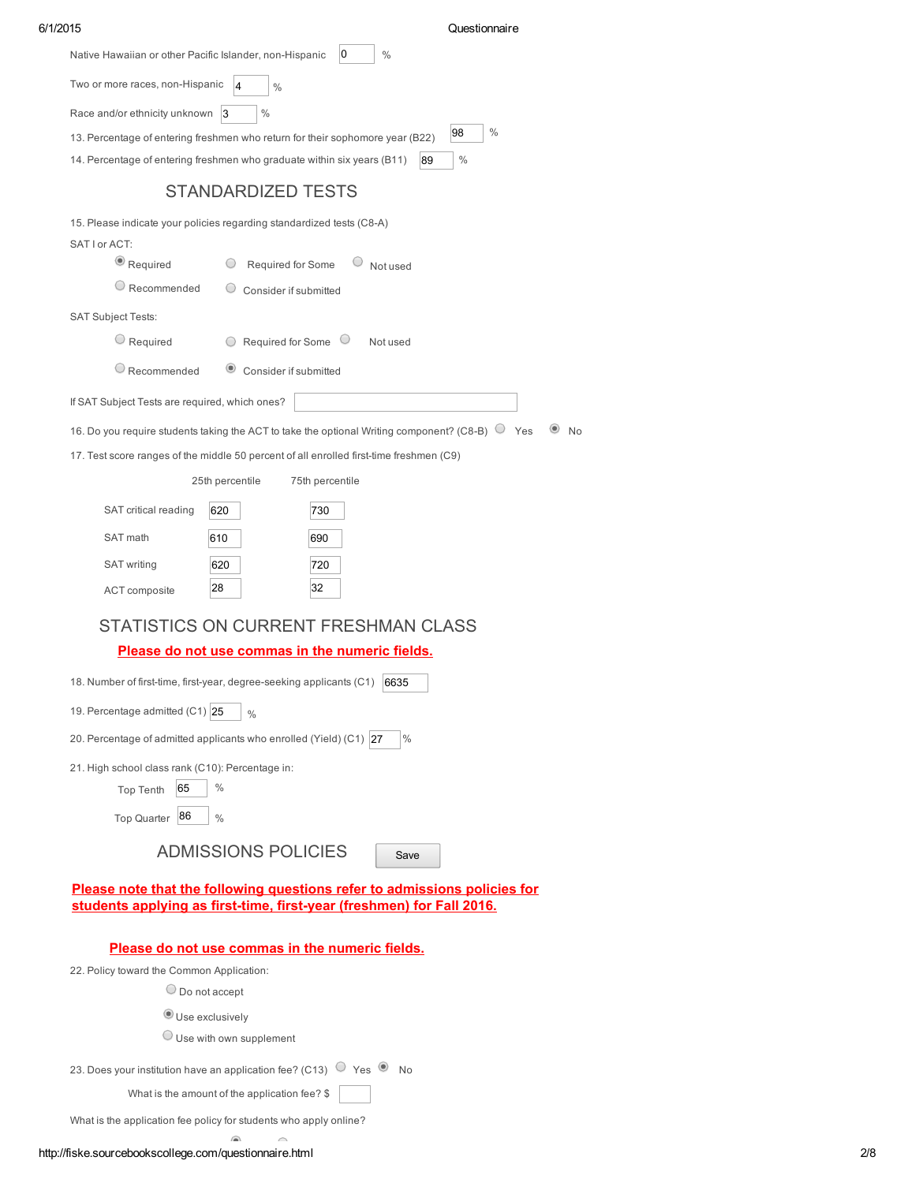| 6/1/2015                                                                                      |                                               |                                                                                                                                                    | Questionnaire       |
|-----------------------------------------------------------------------------------------------|-----------------------------------------------|----------------------------------------------------------------------------------------------------------------------------------------------------|---------------------|
| Native Hawaiian or other Pacific Islander, non-Hispanic                                       |                                               | 0<br>$\%$                                                                                                                                          |                     |
| Two or more races, non-Hispanic                                                               | 4<br>$\%$                                     |                                                                                                                                                    |                     |
| Race and/or ethnicity unknown 3                                                               | $\%$                                          |                                                                                                                                                    |                     |
| 13. Percentage of entering freshmen who return for their sophomore year (B22)                 |                                               |                                                                                                                                                    | $\frac{0}{0}$<br>98 |
| 14. Percentage of entering freshmen who graduate within six years (B11)                       |                                               | 89                                                                                                                                                 | $\%$                |
|                                                                                               | <b>STANDARDIZED TESTS</b>                     |                                                                                                                                                    |                     |
| 15. Please indicate your policies regarding standardized tests (C8-A)                         |                                               |                                                                                                                                                    |                     |
| SAT I or ACT:                                                                                 |                                               |                                                                                                                                                    |                     |
| $\bullet$ Required                                                                            | Required for Some                             | Not used                                                                                                                                           |                     |
| $\circlearrowright$ Recommended                                                               | Consider if submitted                         |                                                                                                                                                    |                     |
| <b>SAT Subject Tests:</b>                                                                     |                                               |                                                                                                                                                    |                     |
| $\bigcirc$ Required                                                                           | Required for Some O<br>$\bigcirc$             | Not used                                                                                                                                           |                     |
| $\bigcirc$ Recommended                                                                        | Consider if submitted                         |                                                                                                                                                    |                     |
| If SAT Subject Tests are required, which ones?                                                |                                               |                                                                                                                                                    |                     |
|                                                                                               |                                               | 16. Do you require students taking the ACT to take the optional Writing component? (C8-B) $\bigcirc$ Yes                                           | <b>No</b>           |
|                                                                                               |                                               | 17. Test score ranges of the middle 50 percent of all enrolled first-time freshmen (C9)                                                            |                     |
|                                                                                               | 25th percentile                               | 75th percentile                                                                                                                                    |                     |
| SAT critical reading                                                                          | 620                                           | 730                                                                                                                                                |                     |
| SAT math                                                                                      | 610                                           | 690                                                                                                                                                |                     |
|                                                                                               |                                               |                                                                                                                                                    |                     |
| <b>SAT writing</b>                                                                            | 620<br>28                                     | 720<br>32                                                                                                                                          |                     |
| ACT composite                                                                                 |                                               |                                                                                                                                                    |                     |
|                                                                                               |                                               | STATISTICS ON CURRENT FRESHMAN CLASS                                                                                                               |                     |
|                                                                                               |                                               | Please do not use commas in the numeric fields.                                                                                                    |                     |
| 18. Number of first-time, first-year, degree-seeking applicants (C1)                          |                                               | 6635                                                                                                                                               |                     |
| 19. Percentage admitted (C1) 25                                                               | $\frac{0}{0}$                                 |                                                                                                                                                    |                     |
| 20. Percentage of admitted applicants who enrolled (Yield) (C1) 27                            |                                               | %                                                                                                                                                  |                     |
| 21. High school class rank (C10): Percentage in:                                              |                                               |                                                                                                                                                    |                     |
| 65<br><b>Top Tenth</b>                                                                        | $\%$                                          |                                                                                                                                                    |                     |
| 86<br>Top Quarter                                                                             | $\frac{0}{0}$                                 |                                                                                                                                                    |                     |
|                                                                                               | <b>ADMISSIONS POLICIES</b>                    | Save                                                                                                                                               |                     |
|                                                                                               |                                               |                                                                                                                                                    |                     |
|                                                                                               |                                               | Please note that the following questions refer to admissions policies for<br>students applying as first-time, first-year (freshmen) for Fall 2016. |                     |
|                                                                                               |                                               |                                                                                                                                                    |                     |
|                                                                                               |                                               | Please do not use commas in the numeric fields.                                                                                                    |                     |
| 22. Policy toward the Common Application:                                                     |                                               |                                                                                                                                                    |                     |
| $\bigcirc$ Do not accept                                                                      |                                               |                                                                                                                                                    |                     |
| Use exclusively                                                                               |                                               |                                                                                                                                                    |                     |
|                                                                                               | $\bigcirc$ Use with own supplement            |                                                                                                                                                    |                     |
| 23. Does your institution have an application fee? (C13) $\circledcirc$ Yes $\circledcirc$ No |                                               |                                                                                                                                                    |                     |
|                                                                                               | What is the amount of the application fee? \$ |                                                                                                                                                    |                     |
| What is the application fee policy for students who apply online?                             |                                               |                                                                                                                                                    |                     |
|                                                                                               | ⋒                                             |                                                                                                                                                    |                     |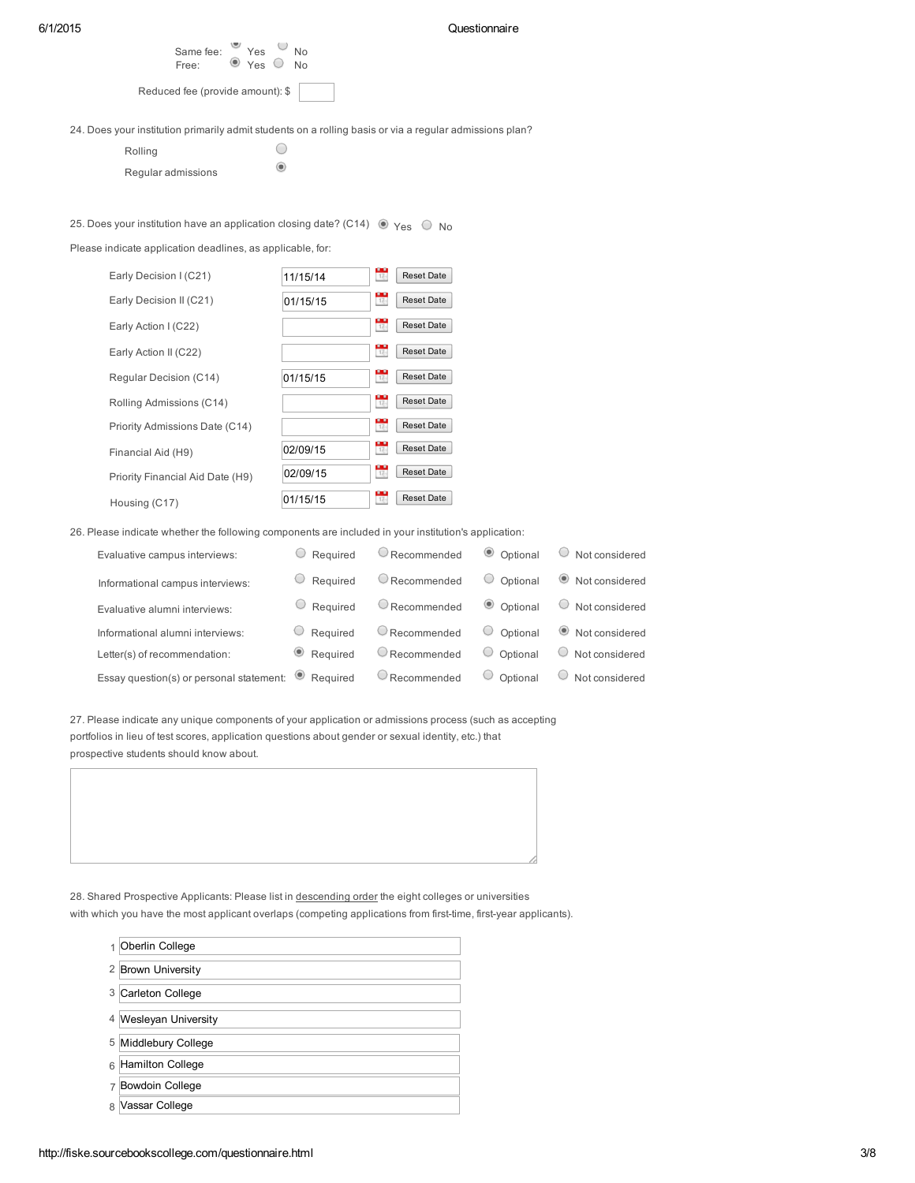#### 6/1/2015 Questionnaire

| Free:                            | $\cup$ Yes $\cup$ | No. |
|----------------------------------|-------------------|-----|
| Reduced fee (provide amount): \$ |                   |     |

24. Does your institution primarily admit students on a rolling basis or via a regular admissions plan?

Yes Mo

 $\bigcirc$  $\begin{array}{c} \bullet \\ \bullet \end{array}$ 

| Rolling            |  |
|--------------------|--|
| Regular admissions |  |

Same fee:

## 25. Does your institution have an application closing date? (C14)  $\circledcirc$  Yes  $\circledcirc$  No

Please indicate application deadlines, as applicable, for:

| Early Decision I (C21)           | 11/15/14 | 육              | <b>Reset Date</b> |
|----------------------------------|----------|----------------|-------------------|
| Early Decision II (C21)          | 01/15/15 | $\frac{1}{12}$ | <b>Reset Date</b> |
| Early Action I (C22)             |          | $\frac{1}{12}$ | Reset Date        |
| Early Action II (C22)            |          | $\frac{1}{12}$ | <b>Reset Date</b> |
| Regular Decision (C14)           | 01/15/15 | ÷.             | <b>Reset Date</b> |
| Rolling Admissions (C14)         |          | $\frac{1}{17}$ | <b>Reset Date</b> |
| Priority Admissions Date (C14)   |          | $\frac{1}{17}$ | <b>Reset Date</b> |
| Financial Aid (H9)               | 02/09/15 | $17\%$         | <b>Reset Date</b> |
| Priority Financial Aid Date (H9) | 02/09/15 | $\frac{1}{12}$ | <b>Reset Date</b> |
| Housing (C17)                    | 01/15/15 | $17\%$         | <b>Reset Date</b> |

26. Please indicate whether the following components are included in your institution's application:

| Evaluative campus interviews:                               | $\circ$ Required   | $\cup$ Recommended     | © Optional         | Not considered           |
|-------------------------------------------------------------|--------------------|------------------------|--------------------|--------------------------|
| Informational campus interviews:                            | Required           | $\circ$ Recommended    | $\circ$ Optional   | Not considered           |
| Evaluative alumni interviews:                               | $\cup$ Required    | $\bigcirc$ Recommended | © Optional         | Not considered<br>$\cup$ |
| Informational alumni interviews:                            | $\cup$ Required    | $\bigcirc$ Recommended | Optional<br>$\cup$ | ● Not considered         |
| Letter(s) of recommendation:                                | $\bullet$ Required | $\bigcirc$ Recommended | $\circ$ Optional   | Not considered<br>$\cup$ |
| Essay question(s) or personal statement: $\bullet$ Required |                    | $\cup$ Recommended     | $\cup$<br>Optional | Not considered           |

27. Please indicate any unique components of your application or admissions process (such as accepting portfolios in lieu of test scores, application questions about gender or sexual identity, etc.) that prospective students should know about.

28. Shared Prospective Applicants: Please list in descending order the eight colleges or universities with which you have the most applicant overlaps (competing applications from first-time, first-year applicants).

|   | Oberlin College            |
|---|----------------------------|
|   | 2 Brown University         |
| 3 | Carleton College           |
| 4 | <b>Wesleyan University</b> |
| 5 | Middlebury College         |
| 6 | Hamilton College           |
| 7 | Bowdoin College            |
| R | Vassar College             |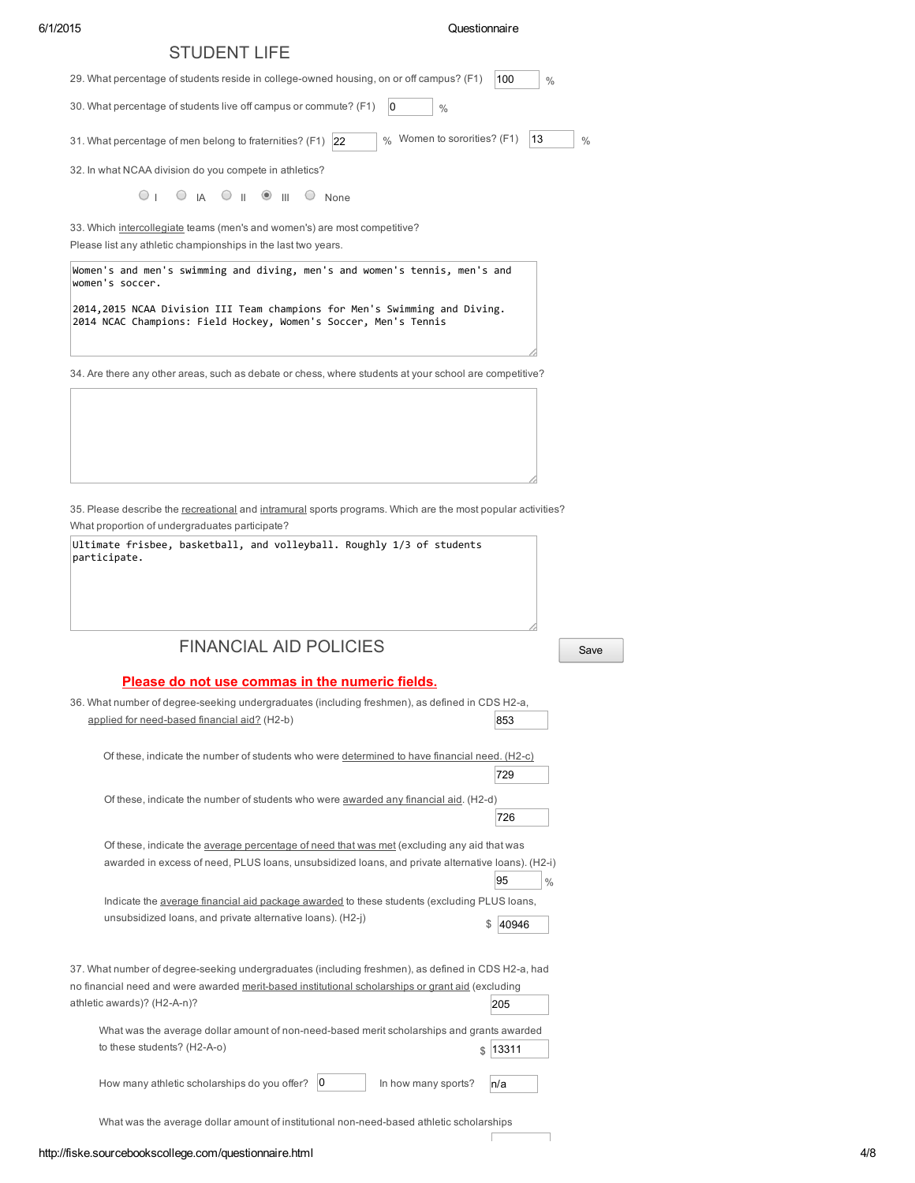#### 6/1/2015 Questionnaire

| <b>STUDENT LIFE</b>                                                                                                                                                                                     |                     |
|---------------------------------------------------------------------------------------------------------------------------------------------------------------------------------------------------------|---------------------|
| 29. What percentage of students reside in college-owned housing, on or off campus? (F1)                                                                                                                 | 100<br>$\%$         |
| 30. What percentage of students live off campus or commute? (F1)<br>0<br>$\%$                                                                                                                           |                     |
| % Women to sororities? (F1)<br>31. What percentage of men belong to fraternities? (F1) 22                                                                                                               | 13<br>$\frac{0}{0}$ |
| 32. In what NCAA division do you compete in athletics?                                                                                                                                                  |                     |
| $\circ$ $\circ$ $\circ$ $\circ$ $\circ$ $\circ$ $\circ$<br>$\bigcirc$ None                                                                                                                              |                     |
| 33. Which intercollegiate teams (men's and women's) are most competitive?<br>Please list any athletic championships in the last two years.                                                              |                     |
| Women's and men's swimming and diving, men's and women's tennis, men's and<br>women's soccer.                                                                                                           |                     |
| 2014,2015 NCAA Division III Team champions for Men's Swimming and Diving.<br>2014 NCAC Champions: Field Hockey, Women's Soccer, Men's Tennis                                                            |                     |
| ?4. Are there any other areas, such as debate or chess, where students at your school are competitive                                                                                                   |                     |
| 35. Please describe the recreational and intramural sports programs. Which are the most popular activities?<br>What proportion of undergraduates participate?                                           |                     |
| Ultimate frisbee, basketball, and volleyball. Roughly 1/3 of students<br>participate.                                                                                                                   |                     |
|                                                                                                                                                                                                         |                     |
| <b>FINANCIAL AID POLICIES</b>                                                                                                                                                                           | Save                |
| Please do not use commas in the numeric fields.                                                                                                                                                         |                     |
| 36. What number of degree-seeking undergraduates (including freshmen), as defined in CDS H2-a,<br>applied for need-based financial aid? (H2-b)                                                          | 853                 |
| Of these, indicate the number of students who were determined to have financial need. (H2-c)                                                                                                            | 729                 |
| Of these, indicate the number of students who were awarded any financial aid. (H2-d)                                                                                                                    | 726                 |
| Of these, indicate the average percentage of need that was met (excluding any aid that was                                                                                                              |                     |
| awarded in excess of need, PLUS loans, unsubsidized loans, and private alternative loans). (H2-i)                                                                                                       | 95<br>$\frac{0}{0}$ |
| Indicate the <i>average financial aid package awarded</i> to these students (excluding PLUS loans,                                                                                                      |                     |
| unsubsidized loans, and private alternative loans). (H2-j)                                                                                                                                              | \$<br>40946         |
| 37. What number of degree-seeking undergraduates (including freshmen), as defined in CDS H2-a, had<br>no financial need and were awarded merit-based institutional scholarships or grant aid (excluding |                     |
| athletic awards)? (H2-A-n)?                                                                                                                                                                             | 205                 |
| What was the average dollar amount of non-need-based merit scholarships and grants awarded<br>to these students? (H2-A-o)<br>\$                                                                         | 13311               |
| 0<br>How many athletic scholarships do you offer?<br>In how many sports?                                                                                                                                | n/a                 |

What was the average dollar amount of institutional non-need-based athletic scholarships

 $\overline{\Gamma}$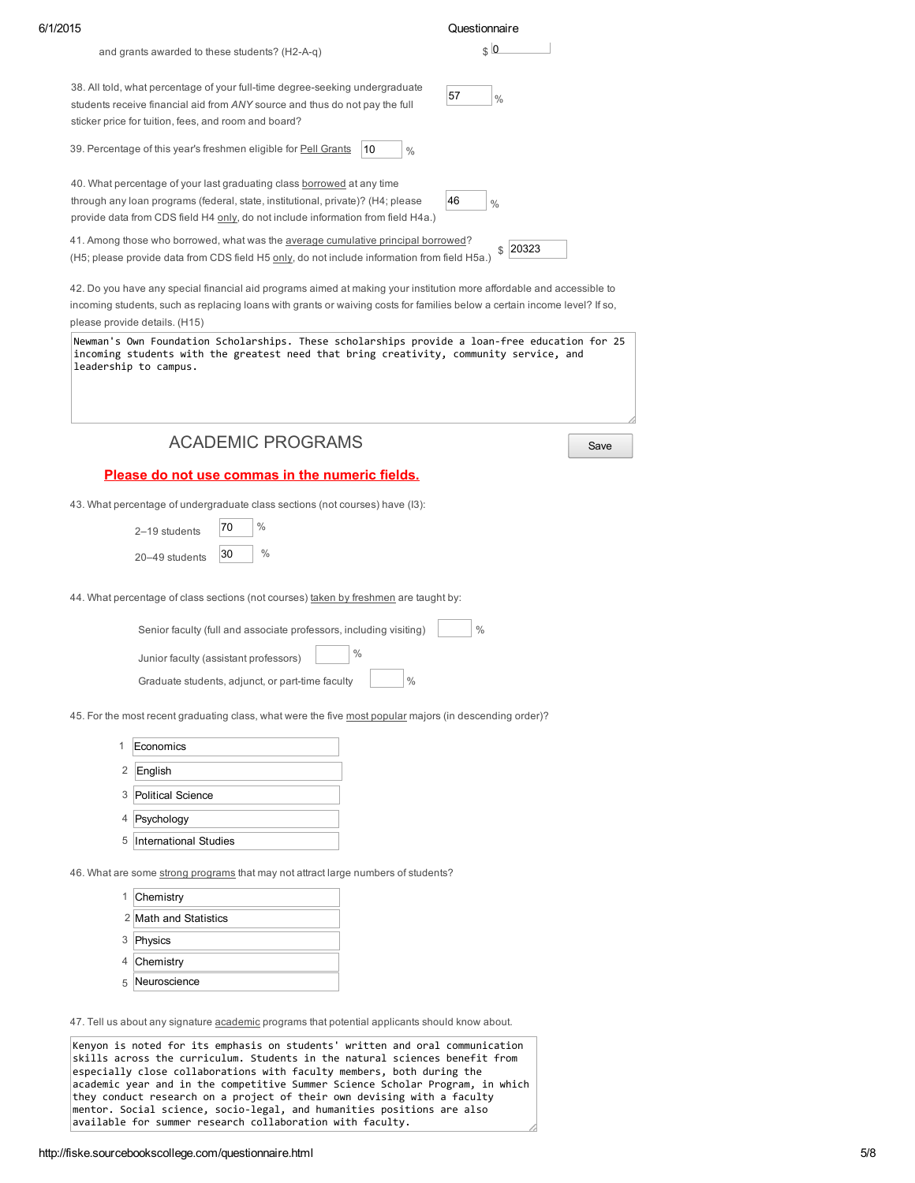|                               |                                                                                                                                                                                                                                                    |               | Questionnaire       |           |
|-------------------------------|----------------------------------------------------------------------------------------------------------------------------------------------------------------------------------------------------------------------------------------------------|---------------|---------------------|-----------|
|                               | and grants awarded to these students? (H2-A-q)                                                                                                                                                                                                     |               | $\frac{1}{2}$       |           |
|                               | 38. All told, what percentage of your full-time degree-seeking undergraduate<br>students receive financial aid from ANY source and thus do not pay the full<br>sticker price for tuition, fees, and room and board?                                |               | 57<br>$\%$          |           |
|                               | 39. Percentage of this year's freshmen eligible for <b>Pell Grants</b>                                                                                                                                                                             | 10<br>$\%$    |                     |           |
|                               | 40. What percentage of your last graduating class borrowed at any time<br>through any loan programs (federal, state, institutional, private)? (H4; please<br>provide data from CDS field H4 only, do not include information from field H4a.)      |               | 46<br>$\frac{0}{0}$ |           |
|                               | 41. Among those who borrowed, what was the average cumulative principal borrowed?<br>(H5; please provide data from CDS field H5 only, do not include information from field H5a.)                                                                  |               |                     | $$$ 20323 |
| please provide details. (H15) | 42. Do you have any special financial aid programs aimed at making your institution more affordable and accessible to<br>incoming students, such as replacing loans with grants or waiving costs for families below a certain income level? If so, |               |                     |           |
| leadership to campus.         | Newman's Own Foundation Scholarships. These scholarships provide a loan-free education for 25<br>incoming students with the greatest need that bring creativity, community service, and                                                            |               |                     |           |
|                               | <b>ACADEMIC PROGRAMS</b>                                                                                                                                                                                                                           |               |                     | Save      |
|                               | Please do not use commas in the numeric fields.                                                                                                                                                                                                    |               |                     |           |
|                               | 43. What percentage of undergraduate class sections (not courses) have (I3):                                                                                                                                                                       |               |                     |           |
|                               | $\%$<br>70<br>2-19 students                                                                                                                                                                                                                        |               |                     |           |
|                               |                                                                                                                                                                                                                                                    |               |                     |           |
|                               |                                                                                                                                                                                                                                                    |               |                     |           |
|                               | $\%$<br>30<br>20-49 students                                                                                                                                                                                                                       |               |                     |           |
|                               | 44. What percentage of class sections (not courses) taken by freshmen are taught by:                                                                                                                                                               |               |                     |           |
|                               | Senior faculty (full and associate professors, including visiting)                                                                                                                                                                                 |               | $\%$                |           |
|                               | Junior faculty (assistant professors)                                                                                                                                                                                                              | $\frac{0}{0}$ |                     |           |
|                               | Graduate students, adjunct, or part-time faculty                                                                                                                                                                                                   | $\%$          |                     |           |
|                               | 45. For the most recent graduating class, what were the five most popular majors (in descending order)?                                                                                                                                            |               |                     |           |
| 1                             | Economics                                                                                                                                                                                                                                          |               |                     |           |
| 2                             | English                                                                                                                                                                                                                                            |               |                     |           |
|                               | 3 Political Science                                                                                                                                                                                                                                |               |                     |           |
|                               | 4 Psychology                                                                                                                                                                                                                                       |               |                     |           |
|                               | 5 International Studies                                                                                                                                                                                                                            |               |                     |           |
|                               |                                                                                                                                                                                                                                                    |               |                     |           |
|                               | 46. What are some strong programs that may not attract large numbers of students?                                                                                                                                                                  |               |                     |           |
| 1                             | Chemistry                                                                                                                                                                                                                                          |               |                     |           |
|                               | 2 Math and Statistics                                                                                                                                                                                                                              |               |                     |           |
|                               | 3 Physics                                                                                                                                                                                                                                          |               |                     |           |
|                               | 4 Chemistry<br>5 Neuroscience                                                                                                                                                                                                                      |               |                     |           |

skills across the curriculum. Students in the natural sciences benefit from especially close collaborations with faculty members, both during the academic year and in the competitive Summer Science Scholar Program, in which they conduct research on a project of their own devising with a faculty mentor. Social science, socio‐legal, and humanities positions are also available for summer research collaboration with faculty.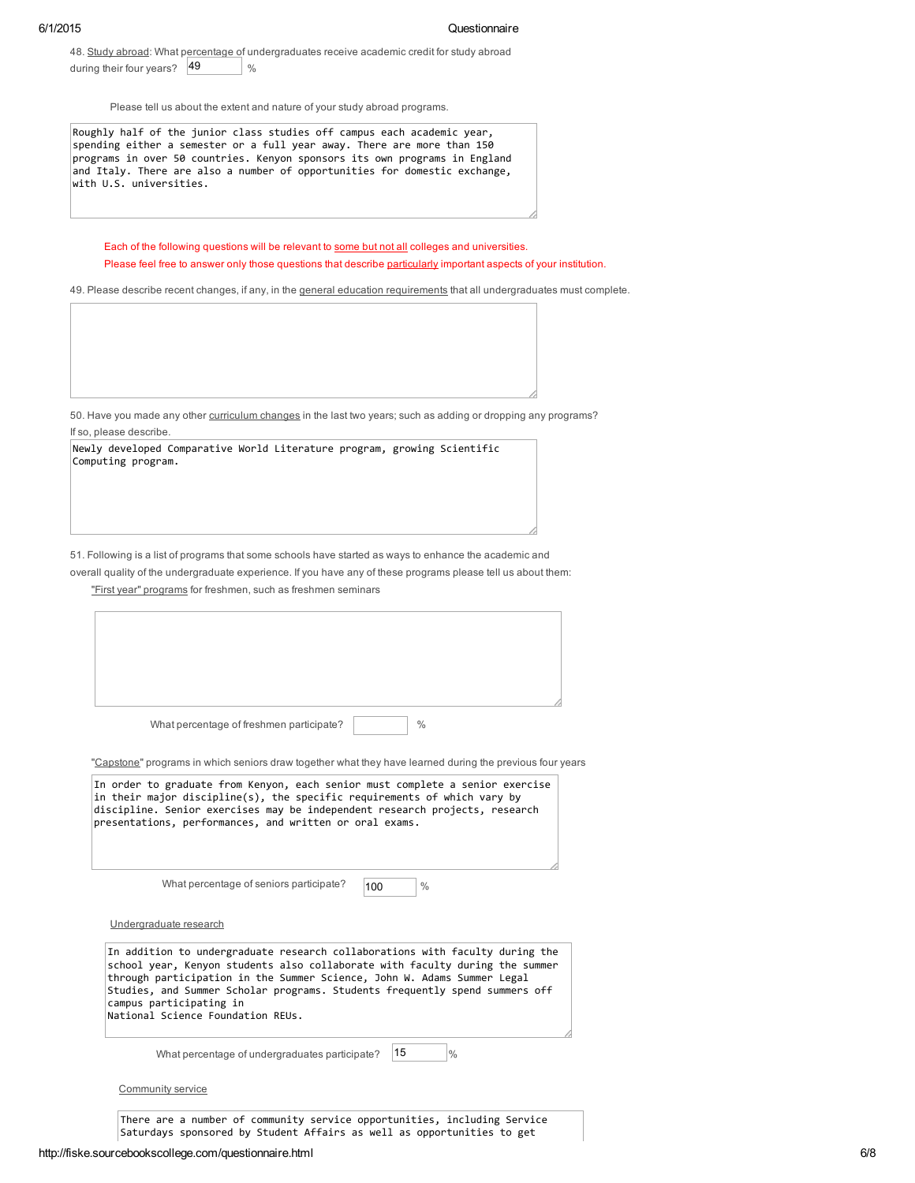48. Study abroad: What percentage of undergraduates receive academic credit for study abroad during their four years? 49 %

Please tell us about the extent and nature of your study abroad programs.

Roughly half of the junior class studies off campus each academic year, spending either a semester or a full year away. There are more than 150 programs in over 50 countries. Kenyon sponsors its own programs in England and Italy. There are also a number of opportunities for domestic exchange, with U.S. universities.

Each of the following questions will be relevant to some but not all colleges and universities.

Please feel free to answer only those questions that describe particularly important aspects of your institution.

49. Please describe recent changes, if any, in the general education requirements that all undergraduates must complete.

50. Have you made any other curriculum changes in the last two years; such as adding or dropping any programs? If so, please describe.

|                    | Newly developed Comparative World Literature program, growing Scientific |  |  |  |
|--------------------|--------------------------------------------------------------------------|--|--|--|
| Computing program. |                                                                          |  |  |  |

51. Following is a list of programs that some schools have started as ways to enhance the academic and

overall quality of the undergraduate experience. If you have any of these programs please tell us about them:

"First year" programs for freshmen, such as freshmen seminars

|                                                              | What percentage of freshmen participate?<br>"Capstone" programs in which seniors draw together what they have learned during the previous four years                                                                                                                                                                   |     | $\frac{0}{0}$ |  |
|--------------------------------------------------------------|------------------------------------------------------------------------------------------------------------------------------------------------------------------------------------------------------------------------------------------------------------------------------------------------------------------------|-----|---------------|--|
|                                                              | In order to graduate from Kenyon, each senior must complete a senior exercise<br>in their major discipline(s), the specific requirements of which vary by<br>discipline. Senior exercises may be independent research projects, research<br>presentations, performances, and written or oral exams.                    |     |               |  |
|                                                              | What percentage of seniors participate?                                                                                                                                                                                                                                                                                | 100 | $\frac{0}{0}$ |  |
| Undergraduate research                                       |                                                                                                                                                                                                                                                                                                                        |     |               |  |
| campus participating in<br>National Science Foundation REUs. | In addition to undergraduate research collaborations with faculty during the<br>school year, Kenyon students also collaborate with faculty during the summer<br>through participation in the Summer Science, John W. Adams Summer Legal<br>Studies, and Summer Scholar programs. Students frequently spend summers off |     |               |  |
|                                                              | What percentage of undergraduates participate?                                                                                                                                                                                                                                                                         | 15  | $\frac{0}{0}$ |  |
| Community service                                            |                                                                                                                                                                                                                                                                                                                        |     |               |  |

There are a number of community service opportunities, including Service Saturdays sponsored by Student Affairs as well as opportunities to get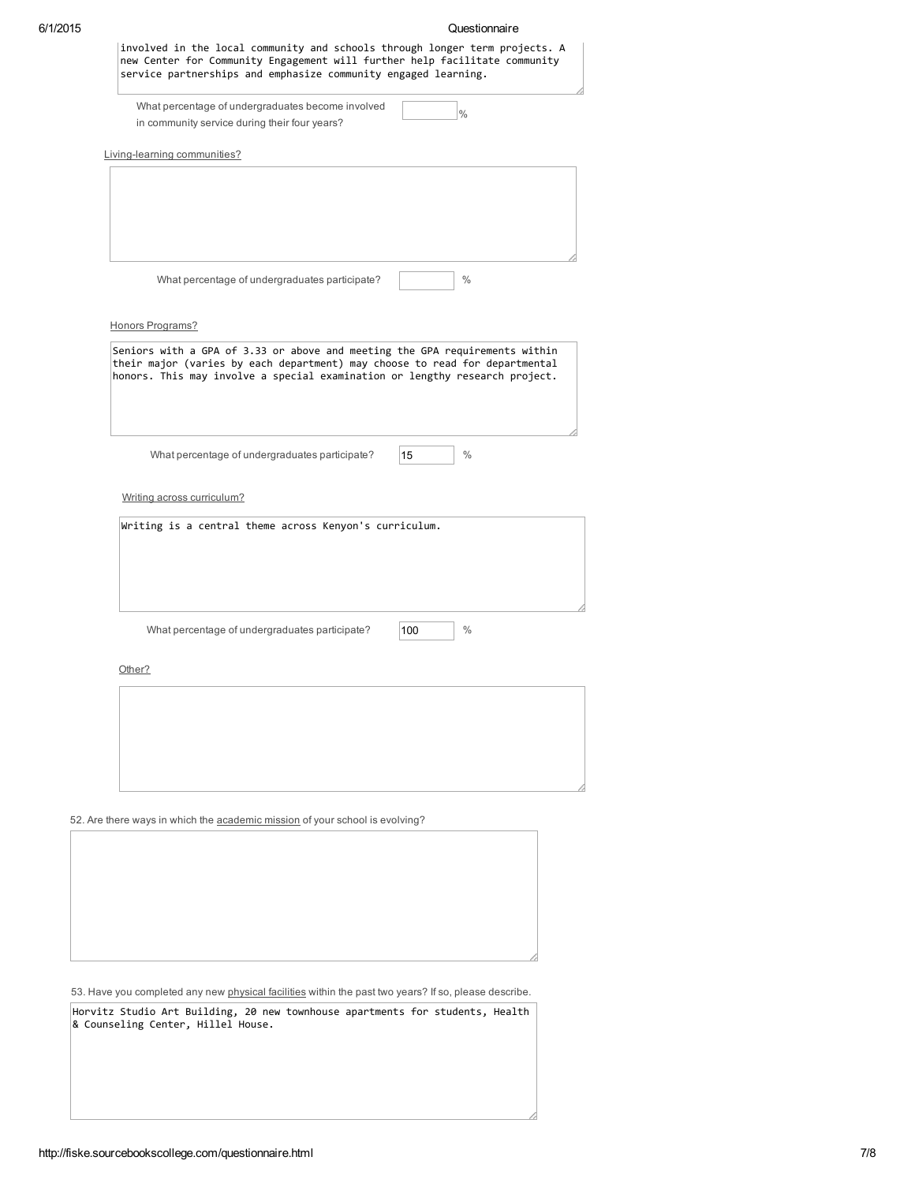|        | What percentage of undergraduates become involved<br>$\frac{0}{0}$<br>in community service during their four years?                                        |
|--------|------------------------------------------------------------------------------------------------------------------------------------------------------------|
|        | Living-learning communities?                                                                                                                               |
|        |                                                                                                                                                            |
|        |                                                                                                                                                            |
|        |                                                                                                                                                            |
|        | $\frac{0}{0}$<br>What percentage of undergraduates participate?                                                                                            |
|        | Honors Programs?                                                                                                                                           |
|        | Seniors with a GPA of 3.33 or above and meeting the GPA requirements within<br>their major (varies by each department) may choose to read for departmental |
|        | honors. This may involve a special examination or lengthy research project.                                                                                |
|        |                                                                                                                                                            |
|        | $\%$<br>What percentage of undergraduates participate?<br>15                                                                                               |
|        |                                                                                                                                                            |
|        | Writing across curriculum?                                                                                                                                 |
|        | Writing is a central theme across Kenyon's curriculum.                                                                                                     |
|        |                                                                                                                                                            |
|        |                                                                                                                                                            |
|        | $\%$<br>What percentage of undergraduates participate?<br>100                                                                                              |
| Other? |                                                                                                                                                            |
|        |                                                                                                                                                            |
|        |                                                                                                                                                            |
|        |                                                                                                                                                            |
|        |                                                                                                                                                            |
|        |                                                                                                                                                            |

53. Have you completed any new physical facilities within the past two years? If so, please describe.

Horvitz Studio Art Building, 20 new townhouse apartments for students, Health & Counseling Center, Hillel House.